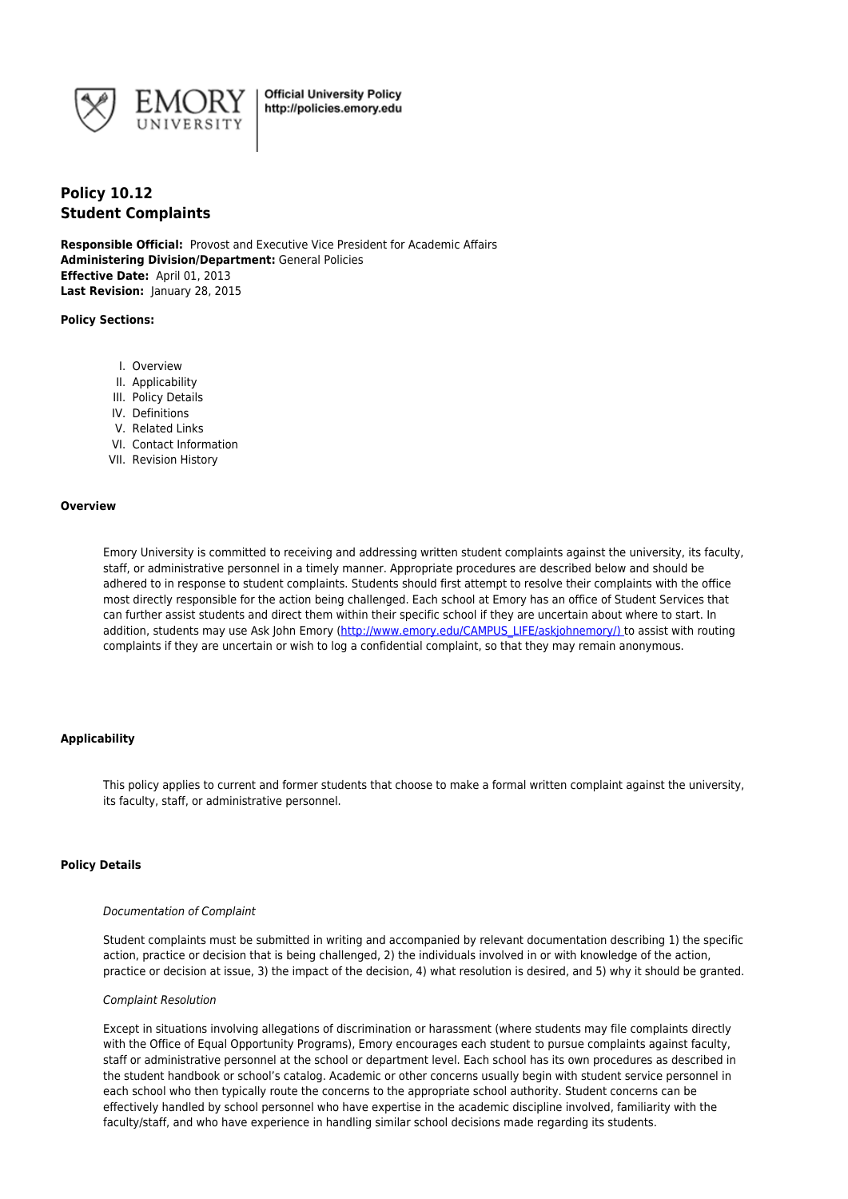

# **Policy 10.12 Student Complaints**

**Responsible Official:** Provost and Executive Vice President for Academic Affairs **Administering Division/Department:** General Policies **Effective Date:** April 01, 2013 **Last Revision:** January 28, 2015

## **Policy Sections:**

- I. Overview
- II. Applicability
- III. Policy Details
- IV. Definitions
- V. Related Links
- VI. Contact Information
- VII. Revision History

#### **Overview**

Emory University is committed to receiving and addressing written student complaints against the university, its faculty, staff, or administrative personnel in a timely manner. Appropriate procedures are described below and should be adhered to in response to student complaints. Students should first attempt to resolve their complaints with the office most directly responsible for the action being challenged. Each school at Emory has an office of Student Services that can further assist students and direct them within their specific school if they are uncertain about where to start. In addition, students may use Ask John Emory (http://www.emory.edu/CAMPUS\_LIFE/askjohnemory/) to assist with routing complaints if they are uncertain or wish to log a confidential complaint, so that they may remain anonymous.

# **Applicability**

This policy applies to current and former students that choose to make a formal written complaint against the university, its faculty, staff, or administrative personnel.

## **Policy Details**

#### Documentation of Complaint

Student complaints must be submitted in writing and accompanied by relevant documentation describing 1) the specific action, practice or decision that is being challenged, 2) the individuals involved in or with knowledge of the action, practice or decision at issue, 3) the impact of the decision, 4) what resolution is desired, and 5) why it should be granted.

#### Complaint Resolution

Except in situations involving allegations of discrimination or harassment (where students may file complaints directly with the Office of Equal Opportunity Programs), Emory encourages each student to pursue complaints against faculty, staff or administrative personnel at the school or department level. Each school has its own procedures as described in the student handbook or school's catalog. Academic or other concerns usually begin with student service personnel in each school who then typically route the concerns to the appropriate school authority. Student concerns can be effectively handled by school personnel who have expertise in the academic discipline involved, familiarity with the faculty/staff, and who have experience in handling similar school decisions made regarding its students.